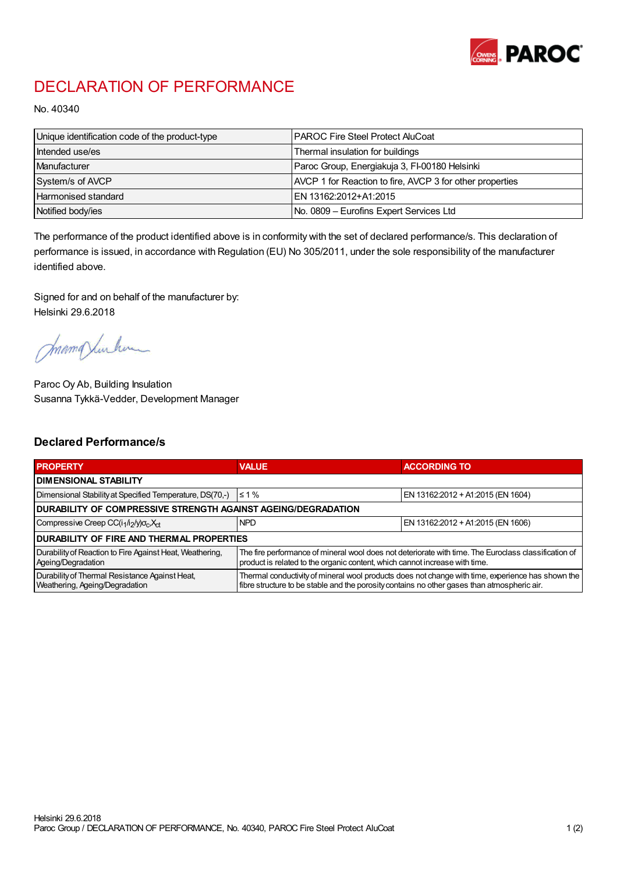

## DECLARATION OF PERFORMANCE

No. 40340

| Unique identification code of the product-type | I PAROC Fire Steel Protect AluCoat                       |
|------------------------------------------------|----------------------------------------------------------|
| Intended use/es                                | Thermal insulation for buildings                         |
| Manufacturer                                   | Paroc Group, Energiakuja 3, FI-00180 Helsinki            |
| System/s of AVCP                               | AVCP 1 for Reaction to fire, AVCP 3 for other properties |
| <b>Harmonised standard</b>                     | EN 13162:2012+A1:2015                                    |
| Notified body/ies                              | No. 0809 – Eurofins Expert Services Ltd                  |

The performance of the product identified above is in conformity with the set of declared performance/s. This declaration of performance is issued, in accordance with Regulation (EU) No 305/2011, under the sole responsibility of the manufacturer identified above.

Signed for and on behalf of the manufacturer by: Helsinki 29.6.2018

mamaximlum

Paroc Oy Ab, Building Insulation Susanna Tykkä-Vedder, Development Manager

## Declared Performance/s

| <b>PROPERTY</b>                                                                  | <b>VALUE</b>                                                                                                                                                                                     | <b>ACCORDING TO</b>               |  |  |
|----------------------------------------------------------------------------------|--------------------------------------------------------------------------------------------------------------------------------------------------------------------------------------------------|-----------------------------------|--|--|
| I DIMENSIONAL STABILITY                                                          |                                                                                                                                                                                                  |                                   |  |  |
| Dimensional Stability at Specified Temperature, DS(70,-)                         | $\leq 1\%$                                                                                                                                                                                       | EN 13162:2012 + A1:2015 (EN 1604) |  |  |
| DURABILITY OF COMPRESSIVE STRENGTH AGAINST AGEING/DEGRADATION                    |                                                                                                                                                                                                  |                                   |  |  |
| Compressive Creep CC(i1/i2/y)o <sub>c</sub> ,X <sub>ct</sub>                     | <b>NPD</b>                                                                                                                                                                                       | EN 13162:2012 + A1:2015 (EN 1606) |  |  |
| I DURABILITY OF FIRE AND THERMAL PROPERTIES                                      |                                                                                                                                                                                                  |                                   |  |  |
| Durability of Reaction to Fire Against Heat, Weathering,<br>Ageing/Degradation   | The fire performance of mineral wool does not deteriorate with time. The Euroclass classification of<br>product is related to the organic content, which cannot increase with time.              |                                   |  |  |
| Durability of Thermal Resistance Against Heat,<br>Weathering, Ageing/Degradation | Thermal conductivity of mineral wool products does not change with time, experience has shown the<br>fibre structure to be stable and the porosity contains no other gases than atmospheric air. |                                   |  |  |